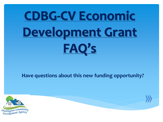# **CDBG-CV Economic Development Grant FAQ's**

#### **Have questions about this new funding opportunity?**



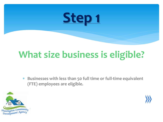#### **What size business is eligible?**

 **Businesses with less than 50 full time or full-time equivalent (FTE) employees are eligible.**



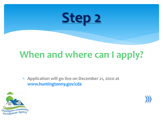### **When and where can I apply?**

 **Application will go live on December 21, 2020 at [www.huntingtonny.gov/cda](http://www.huntingtonny.gov/cda)**



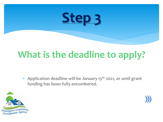## **What is the deadline to apply?**

 **Application deadline will be January 15th 2021, or until grant funding has been fully encumbered.**



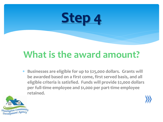#### **What is the award amount?**

 **Businesses are eligible for up to \$25,000 dollars. Grants will be awarded based on a first come, first served basis, and all eligible criteria is satisfied. Funds will provide \$2,000 dollars per full-time employee and \$1,000 per part-time employee retained.**

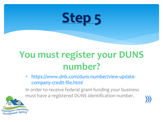

### **You must register your DUNS number?**

 [https://www.dnb.com/duns-number/view-update](https://www.dnb.com/duns-number/view-update-company-credit-file.html)[company-credit-file.html](https://www.dnb.com/duns-number/view-update-company-credit-file.html)

In order to receive federal grant funding your business must have a registered DUNS identification number.



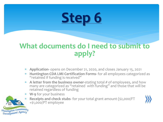#### **What documents do I need to submit to apply?**

- **Application-** opens on December 21, 2020, and closes January 15, 2021
- **Huntington CDA LMI Certification Forms-** for all employees categorized as "retained if funding is received"
- **A letter from the business owner-**stating total # of employees, and how many are categorized as "retained with funding" and those that will be retained regardless of funding
- **W-9** for your business
- **Receipts and check stubs** for your total grant amount (\$2,000/FT +\$1,000/PT employee



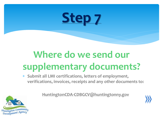

### **Where do we send our supplementary documents?**

 **Submit all LMI certifications, letters of employment, verifications, invoices, receipts and any other documents to:**



**HuntingtonCDA-CDBGCV@huntingtonny.gov**

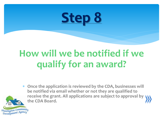

#### **How will we be notified if we qualify for an award?**

 **Once the application is reviewed by the CDA, businesses will be notified via email whether or not they are qualified to receive the grant. All applications are subject to approval by the CDA Board.**

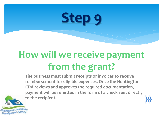## **How will we receive payment from the grant?**

**The business must submit receipts or invoices to receive reimbursement for eligible expenses. Once the Huntington CDA reviews and approves the required documentation, payment will be remitted in the form of a check sent directly to the recipient.** 

ngton Commu